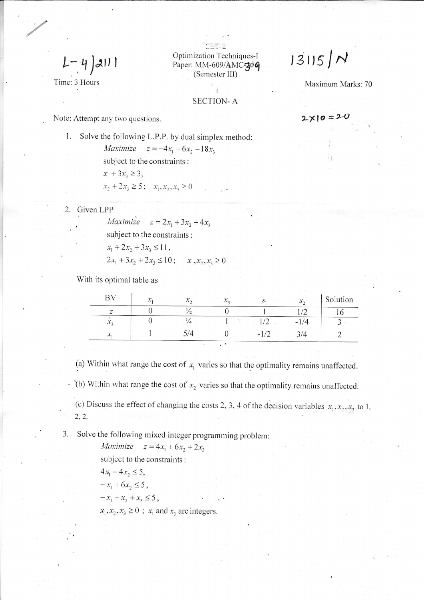$L - 4$  211

Time: 3 Hours

Optimization Techniques-I Paper: MM-609/AMC-306 (Semester III)

# $13115/M$

 $2x10 = 20$ 

Maximum Marks: 70

**SECTION-A** 

Note: Attempt any two questions.

Solve the following L.P.P. by dual simplex method: 1. *Maximize*  $z = -4x_1 - 6x_2 - 18x_3$ subject to the constraints:  $x_1 + 3x_3 \ge 3$ ,

$$
x_2 + 2x_3 \ge 5; \quad x_1, x_2, x_3 \ge 0
$$

2. Given LPP

Maximize  $z = 2x_1 + 3x_2 + 4x_3$ subject to the constraints:  $x_1 + 2x_2 + 3x_3 \le 11$ ,  $2x_1 + 3x_2 + 2x_3 \le 10$ ;  $x_1, x_2, x_3 \ge 0$ 

With its optimal table as

| $\mathbf{R}$  | $\mathbf{r}$<br>$\boldsymbol{\mathcal{N}}$ | $\lambda_{\eta}$ | $\mathcal{N}_{2}$ | $S_{2}$    | Solution |
|---------------|--------------------------------------------|------------------|-------------------|------------|----------|
|               |                                            |                  |                   | $\sqrt{2}$ |          |
| $\lambda_3$   |                                            |                  |                   | $-1/4$     |          |
| $\mathcal{X}$ |                                            | Δ                |                   | 3/4        |          |
|               |                                            |                  |                   |            |          |

(a) Within what range the cost of  $x_1$  varies so that the optimality remains unaffected.

 $\cdot$  '(b) Within what range the cost of  $x_2$  varies so that the optimality remains unaffected.

(c) Discuss the effect of changing the costs 2, 3, 4 of the decision variables  $x_1, x_2, x_3$  to 1,  $2, 2.$ 

Solve the following mixed integer programming problem: 3.

> *Maximize*  $z = 4x_1 + 6x_2 + 2x_3$ subject to the constraints:

 $4x_1 - 4x_2 \leq 5$ ,

 $-x_1 + 6x_2 \leq 5$ ,

 $-x_1 + x_2 + x_3 \leq 5$ ,

 $x_1, x_2, x_3 \ge 0$ ;  $x_1$  and  $x_3$  are integers.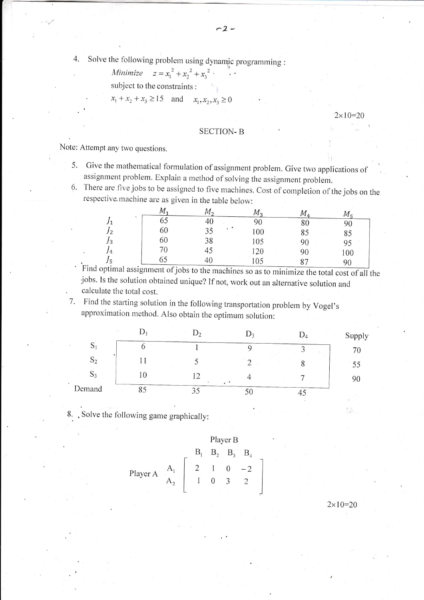Minimize  $z = x_1^2 + x_2^2 + x_3^2$ .

subject to the constraints:

 $x_1 + x_2 + x_3 \ge 15$  and  $x_1, x_2, x_3 \ge 0$ 

#### $2 \times 10 = 20$

### **SECTION-B**

Note: Attempt any two questions.

- 5. Give the mathematical formulation of assignment problem. Give two applications of assignment problem. Explain a method of solving the assignment problem.
- 6. There are five jobs to be assigned to five machines. Cost of completion of the jobs on the respective machine are as given in the table below:

|                | $M_{\tau}$ | М, | $M_{\rm{2}}$ | $M_{\rm 4}$ |          |
|----------------|------------|----|--------------|-------------|----------|
| J1             | м.<br>60   |    | n۵           | 80          | 90       |
| J <sub>2</sub> | 60         | υυ | 100          | 85          | 85       |
| J3             | 60         | 38 | 105          | 90          | 95       |
| 14             |            | 45 | 120          | 90          | 100      |
| J5             | OD         | 4U |              | 87          | $\Omega$ |

Find optimal assignment of jobs to the machines so as to minimize the total cost of all the jobs. Is the solution obtained unique? If not, work out an alternative solution and calculate the total cost.

7. Find the starting solution in the following transportation problem by Vogel's approximation method. Also obtain the optimum solution:

|               |    | D,              |    |    | Supply |
|---------------|----|-----------------|----|----|--------|
| $\mathcal{O}$ |    |                 |    |    | 70     |
| $S_2$         |    |                 |    |    | 55     |
| $D_3$         |    |                 |    |    |        |
| Demand        | οJ | $\bigcap$<br>33 | ΟU | +− |        |

8. Solve the following game graphically:

Player B  
\nPlayer A<sub>1</sub> 
$$
\begin{bmatrix} B_1 & B_2 & B_3 & B_4 \ B_2 & 1 & 0 & -2 \ 1 & 0 & 3 & 2 \end{bmatrix}
$$

 $2 \times 10 = 20$